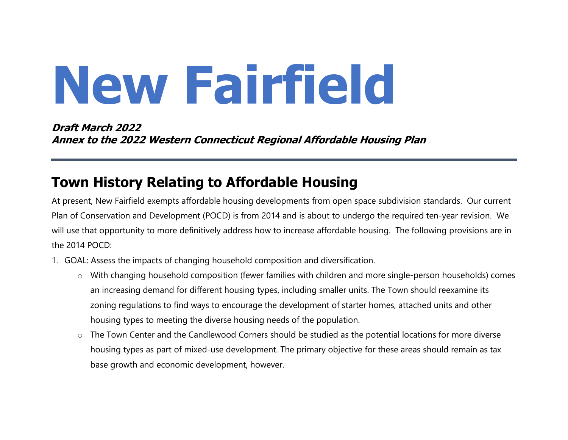# New Fairfield

Draft March 2022 Annex to the 2022 Western Connecticut Regional Affordable Housing Plan

## Town History Relating to Affordable Housing

At present, New Fairfield exempts affordable housing developments from open space subdivision standards. Our current Plan of Conservation and Development (POCD) is from 2014 and is about to undergo the required ten-year revision. We will use that opportunity to more definitively address how to increase affordable housing. The following provisions are in the 2014 POCD:

- 1. GOAL: Assess the impacts of changing household composition and diversification.
	- o With changing household composition (fewer families with children and more single-person households) comes an increasing demand for different housing types, including smaller units. The Town should reexamine its zoning regulations to find ways to encourage the development of starter homes, attached units and other housing types to meeting the diverse housing needs of the population.
	- o The Town Center and the Candlewood Corners should be studied as the potential locations for more diverse housing types as part of mixed-use development. The primary objective for these areas should remain as tax base growth and economic development, however.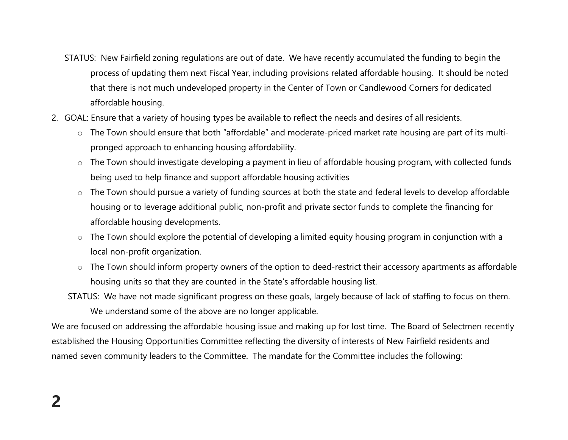- STATUS: New Fairfield zoning regulations are out of date. We have recently accumulated the funding to begin the process of updating them next Fiscal Year, including provisions related affordable housing. It should be noted that there is not much undeveloped property in the Center of Town or Candlewood Corners for dedicated affordable housing.
- 2. GOAL: Ensure that a variety of housing types be available to reflect the needs and desires of all residents.
	- o The Town should ensure that both "affordable" and moderate-priced market rate housing are part of its multipronged approach to enhancing housing affordability.
	- o The Town should investigate developing a payment in lieu of affordable housing program, with collected funds being used to help finance and support affordable housing activities
	- o The Town should pursue a variety of funding sources at both the state and federal levels to develop affordable housing or to leverage additional public, non-profit and private sector funds to complete the financing for affordable housing developments.
	- o The Town should explore the potential of developing a limited equity housing program in conjunction with a local non-profit organization.
	- o The Town should inform property owners of the option to deed-restrict their accessory apartments as affordable housing units so that they are counted in the State's affordable housing list.
	- STATUS: We have not made significant progress on these goals, largely because of lack of staffing to focus on them. We understand some of the above are no longer applicable.

We are focused on addressing the affordable housing issue and making up for lost time. The Board of Selectmen recently established the Housing Opportunities Committee reflecting the diversity of interests of New Fairfield residents and named seven community leaders to the Committee. The mandate for the Committee includes the following: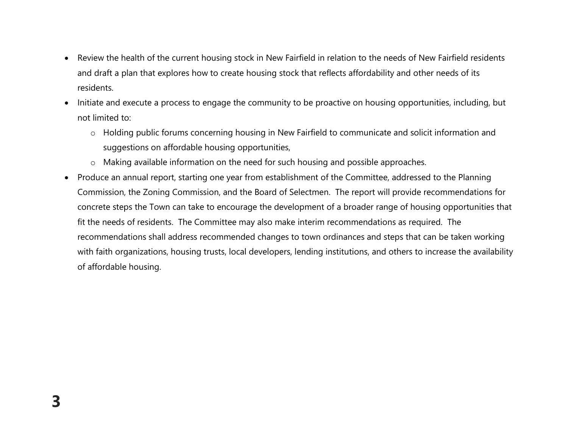- Review the health of the current housing stock in New Fairfield in relation to the needs of New Fairfield residents and draft a plan that explores how to create housing stock that reflects affordability and other needs of its residents.
- Initiate and execute a process to engage the community to be proactive on housing opportunities, including, but not limited to:
	- o Holding public forums concerning housing in New Fairfield to communicate and solicit information and suggestions on affordable housing opportunities,
	- o Making available information on the need for such housing and possible approaches.
- Produce an annual report, starting one year from establishment of the Committee, addressed to the Planning Commission, the Zoning Commission, and the Board of Selectmen. The report will provide recommendations for concrete steps the Town can take to encourage the development of a broader range of housing opportunities that fit the needs of residents. The Committee may also make interim recommendations as required. The recommendations shall address recommended changes to town ordinances and steps that can be taken working with faith organizations, housing trusts, local developers, lending institutions, and others to increase the availability of affordable housing.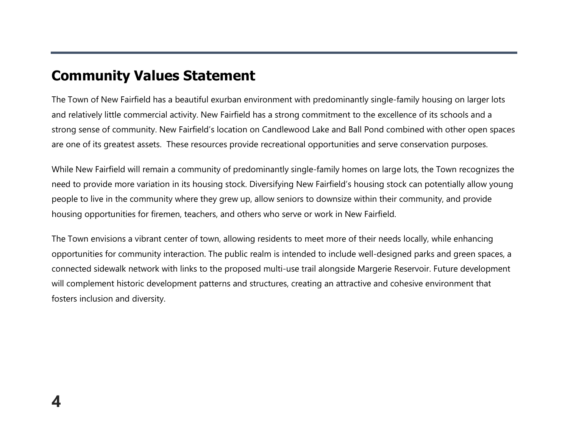## Community Values Statement

The Town of New Fairfield has a beautiful exurban environment with predominantly single-family housing on larger lots and relatively little commercial activity. New Fairfield has a strong commitment to the excellence of its schools and a strong sense of community. New Fairfield's location on Candlewood Lake and Ball Pond combined with other open spaces are one of its greatest assets. These resources provide recreational opportunities and serve conservation purposes.

While New Fairfield will remain a community of predominantly single-family homes on large lots, the Town recognizes the need to provide more variation in its housing stock. Diversifying New Fairfield's housing stock can potentially allow young people to live in the community where they grew up, allow seniors to downsize within their community, and provide housing opportunities for firemen, teachers, and others who serve or work in New Fairfield.

The Town envisions a vibrant center of town, allowing residents to meet more of their needs locally, while enhancing opportunities for community interaction. The public realm is intended to include well-designed parks and green spaces, a connected sidewalk network with links to the proposed multi-use trail alongside Margerie Reservoir. Future development will complement historic development patterns and structures, creating an attractive and cohesive environment that fosters inclusion and diversity.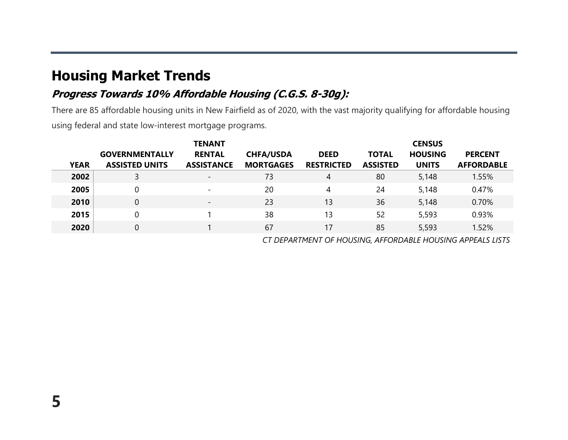## Housing Market Trends

#### Progress Towards 10% Affordable Housing (C.G.S. 8-30g):

There are 85 affordable housing units in New Fairfield as of 2020, with the vast majority qualifying for affordable housing using federal and state low-interest mortgage programs.

|             |                       | <b>TENANT</b>            |                  |                   |                 | <b>CENSUS</b>  |                   |
|-------------|-----------------------|--------------------------|------------------|-------------------|-----------------|----------------|-------------------|
|             | <b>GOVERNMENTALLY</b> | <b>RENTAL</b>            | <b>CHFA/USDA</b> | <b>DEED</b>       | <b>TOTAL</b>    | <b>HOUSING</b> | <b>PERCENT</b>    |
| <b>YEAR</b> | <b>ASSISTED UNITS</b> | <b>ASSISTANCE</b>        | <b>MORTGAGES</b> | <b>RESTRICTED</b> | <b>ASSISTED</b> | <b>UNITS</b>   | <b>AFFORDABLE</b> |
| 2002        |                       | $\overline{\phantom{a}}$ | 73               | 4                 | 80              | 5,148          | 1.55%             |
| 2005        | 0                     | $\overline{\phantom{0}}$ | 20               | 4                 | 24              | 5,148          | 0.47%             |
| 2010        | $\overline{0}$        | $\overline{\phantom{0}}$ | 23               | 13                | 36              | 5,148          | 0.70%             |
| 2015        | 0                     |                          | 38               | 13                | 52              | 5,593          | 0.93%             |
| 2020        | $\overline{0}$        |                          | 67               | 17                | 85              | 5,593          | 1.52%             |

CT DEPARTMENT OF HOUSING, AFFORDABLE HOUSING APPEALS LISTS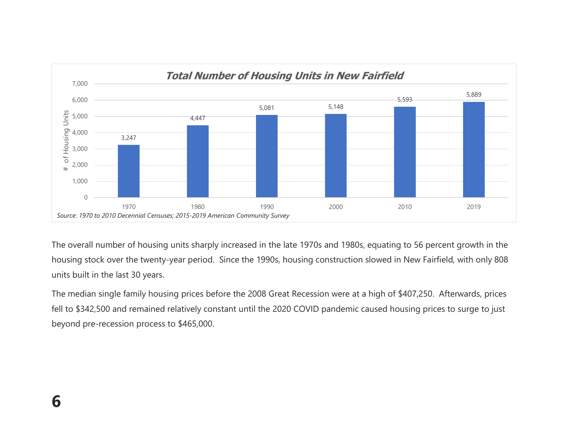

The overall number of housing units sharply increased in the late 1970s and 1980s, equating to 56 percent growth in the housing stock over the twenty-year period. Since the 1990s, housing construction slowed in New Fairfield, with only 808 units built in the last 30 years.

The median single family housing prices before the 2008 Great Recession were at a high of \$407,250. Afterwards, prices fell to \$342,500 and remained relatively constant until the 2020 COVID pandemic caused housing prices to surge to just beyond pre-recession process to \$465,000.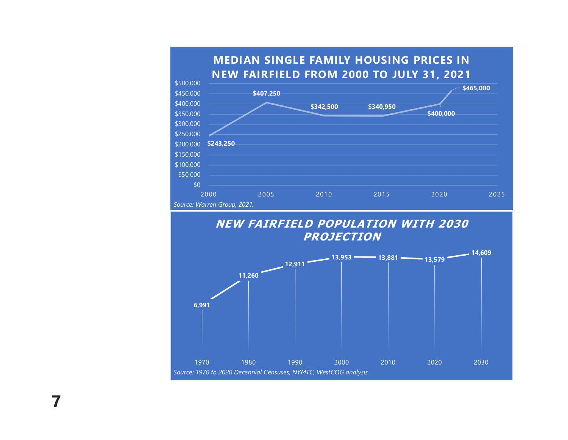



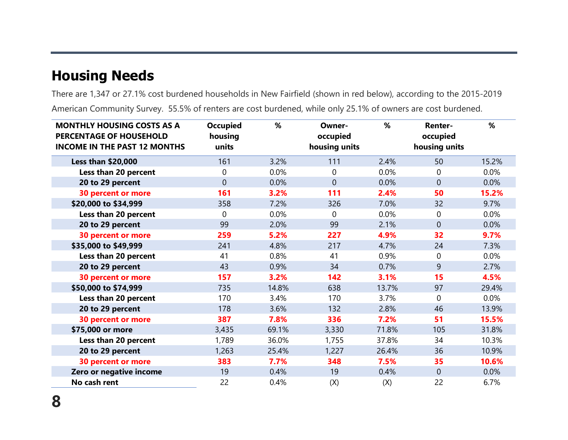# Housing Needs

There are 1,347 or 27.1% cost burdened households in New Fairfield (shown in red below), according to the 2015-2019 American Community Survey. 55.5% of renters are cost burdened, while only 25.1% of owners are cost burdened.

| <b>MONTHLY HOUSING COSTS AS A</b><br>PERCENTAGE OF HOUSEHOLD<br><b>INCOME IN THE PAST 12 MONTHS</b> | <b>Occupied</b><br>housing<br>units | %     | Owner-<br>occupied<br>housing units | %     | <b>Renter-</b><br>occupied<br>housing units | %     |
|-----------------------------------------------------------------------------------------------------|-------------------------------------|-------|-------------------------------------|-------|---------------------------------------------|-------|
| <b>Less than \$20,000</b>                                                                           | 161                                 | 3.2%  | 111                                 | 2.4%  | 50                                          | 15.2% |
| Less than 20 percent                                                                                | $\Omega$                            | 0.0%  | $\Omega$                            | 0.0%  | 0                                           | 0.0%  |
| 20 to 29 percent                                                                                    | $\overline{0}$                      | 0.0%  | $\overline{0}$                      | 0.0%  | 0                                           | 0.0%  |
| <b>30 percent or more</b>                                                                           | 161                                 | 3.2%  | 111                                 | 2.4%  | 50                                          | 15.2% |
| \$20,000 to \$34,999                                                                                | 358                                 | 7.2%  | 326                                 | 7.0%  | 32                                          | 9.7%  |
| Less than 20 percent                                                                                | $\Omega$                            | 0.0%  | 0                                   | 0.0%  | 0                                           | 0.0%  |
| 20 to 29 percent                                                                                    | 99                                  | 2.0%  | 99                                  | 2.1%  | $\mathbf 0$                                 | 0.0%  |
| <b>30 percent or more</b>                                                                           | 259                                 | 5.2%  | 227                                 | 4.9%  | 32                                          | 9.7%  |
| \$35,000 to \$49,999                                                                                | 241                                 | 4.8%  | 217                                 | 4.7%  | 24                                          | 7.3%  |
| Less than 20 percent                                                                                | 41                                  | 0.8%  | 41                                  | 0.9%  | 0                                           | 0.0%  |
| 20 to 29 percent                                                                                    | 43                                  | 0.9%  | 34                                  | 0.7%  | 9                                           | 2.7%  |
| <b>30 percent or more</b>                                                                           | 157                                 | 3.2%  | 142                                 | 3.1%  | 15                                          | 4.5%  |
| \$50,000 to \$74,999                                                                                | 735                                 | 14.8% | 638                                 | 13.7% | 97                                          | 29.4% |
| Less than 20 percent                                                                                | 170                                 | 3.4%  | 170                                 | 3.7%  | $\mathbf 0$                                 | 0.0%  |
| 20 to 29 percent                                                                                    | 178                                 | 3.6%  | 132                                 | 2.8%  | 46                                          | 13.9% |
| <b>30 percent or more</b>                                                                           | 387                                 | 7.8%  | 336                                 | 7.2%  | 51                                          | 15.5% |
| \$75,000 or more                                                                                    | 3,435                               | 69.1% | 3,330                               | 71.8% | 105                                         | 31.8% |
| Less than 20 percent                                                                                | 1,789                               | 36.0% | 1,755                               | 37.8% | 34                                          | 10.3% |
| 20 to 29 percent                                                                                    | 1,263                               | 25.4% | 1,227                               | 26.4% | 36                                          | 10.9% |
| <b>30 percent or more</b>                                                                           | 383                                 | 7.7%  | 348                                 | 7.5%  | 35                                          | 10.6% |
| Zero or negative income                                                                             | 19                                  | 0.4%  | 19                                  | 0.4%  | $\mathbf 0$                                 | 0.0%  |
| No cash rent                                                                                        | 22                                  | 0.4%  | (X)                                 | (X)   | 22                                          | 6.7%  |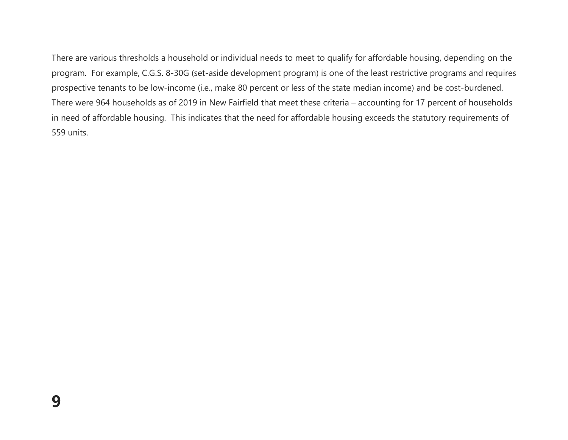There are various thresholds a household or individual needs to meet to qualify for affordable housing, depending on the program. For example, C.G.S. 8-30G (set-aside development program) is one of the least restrictive programs and requires prospective tenants to be low-income (i.e., make 80 percent or less of the state median income) and be cost-burdened. There were 964 households as of 2019 in New Fairfield that meet these criteria – accounting for 17 percent of households in need of affordable housing. This indicates that the need for affordable housing exceeds the statutory requirements of 559 units.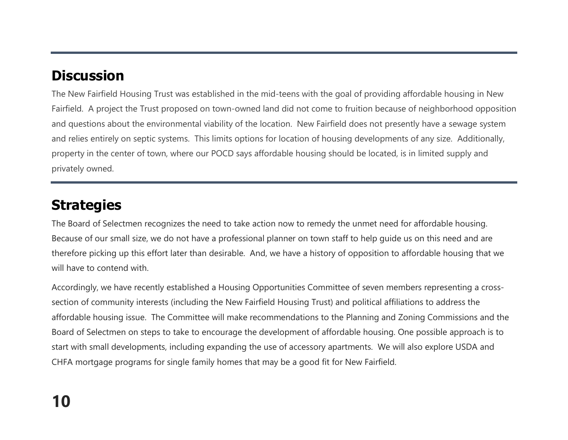# **Discussion**

The New Fairfield Housing Trust was established in the mid-teens with the goal of providing affordable housing in New Fairfield. A project the Trust proposed on town-owned land did not come to fruition because of neighborhood opposition and questions about the environmental viability of the location. New Fairfield does not presently have a sewage system and relies entirely on septic systems. This limits options for location of housing developments of any size. Additionally, property in the center of town, where our POCD says affordable housing should be located, is in limited supply and privately owned.

### **Strategies**

The Board of Selectmen recognizes the need to take action now to remedy the unmet need for affordable housing. Because of our small size, we do not have a professional planner on town staff to help guide us on this need and are therefore picking up this effort later than desirable. And, we have a history of opposition to affordable housing that we will have to contend with.

Accordingly, we have recently established a Housing Opportunities Committee of seven members representing a crosssection of community interests (including the New Fairfield Housing Trust) and political affiliations to address the affordable housing issue. The Committee will make recommendations to the Planning and Zoning Commissions and the Board of Selectmen on steps to take to encourage the development of affordable housing. One possible approach is to start with small developments, including expanding the use of accessory apartments. We will also explore USDA and CHFA mortgage programs for single family homes that may be a good fit for New Fairfield.